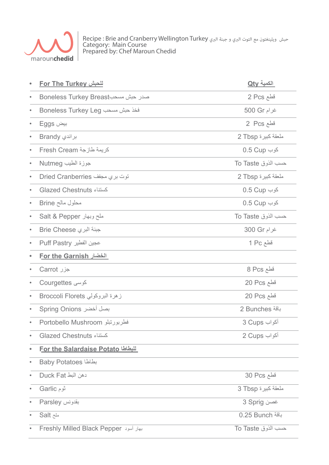

حبش ويلينغتون مع التوت البري و جبنة البري Recipe : Brie and Cranberry Wellington Turkey Category: Main Course Prepared by: Chef Maroun Chedid

|           | <u>For The Turkey للحبش</u>              | <u> الكمية Qty</u>   |
|-----------|------------------------------------------|----------------------|
|           | Boneless Turkey Breast صدر حبش مسحب      | قطع 2 Pcs            |
|           | Boneless Turkey Leg فخذ حبش مسحب         | غرام 500 Gr          |
|           | بيض Eggs                                 | فَطَع Pcs 2          |
|           | براندي Brandy                            | A ملعقة كبيرة 2 Tbsp |
|           | كريمة طازجة Fresh Cream                  | 0.5 Cup کوب          |
|           | جوزة الطيب Nutmeg                        | حسب الذوق To Taste   |
|           | Dried Cranberries توت بري مجفف           | A ملعقة كبيرة 2 Tbsp |
|           | كسنتاء Glazed Chestnuts                  | 0.5 Cup کوب          |
|           | محلول مالح Brine                         | کوب 0.5 Cup          |
|           | ملح وبهار Salt & Pepper                  | حسب الذوق To Taste   |
|           | Brie Cheese جبنة البري                   | غرام 300 Gr          |
|           | Puff Pastry عجين الفطير                  | قطع 1 Pc             |
|           | <b>For the Garnish الخضار</b>            |                      |
|           | جزر Carrot                               | قطع 8 Pcs            |
|           | کوسی Courgettes                          | 20 Pcs فطع           |
| $\bullet$ | زهرة البروكولي Broccoli Florets          | 20 Pcs فطع           |
|           | بصل أخضر Spring Onions                   | باقة Bunches 2       |
|           | Portobello Mushroom فطربورتبلو           | أكواب 3 Cups         |
|           | <b>Glazed Chestnuts <br/></b>            | أكواب 2 Cups         |
| $\bullet$ | <b>For the Salardaise Potato للبطاطا</b> |                      |
| $\bullet$ | Baby Potatoes بطاطا                      |                      |
| $\bullet$ | دهن البط Duck Fat                        | 30 Pcs قطع           |
| $\bullet$ | ثوم Garlic                               | ملعقة كبيرة 3 Tbsp   |
| $\bullet$ | بقدونس Parsley                           | غصن 3 Sprig          |
| $\bullet$ | ملح Salt                                 | باقة 0.25 Bunch      |
|           | Freshly Milled Black Pepper              | To Taste حسب الذوق   |